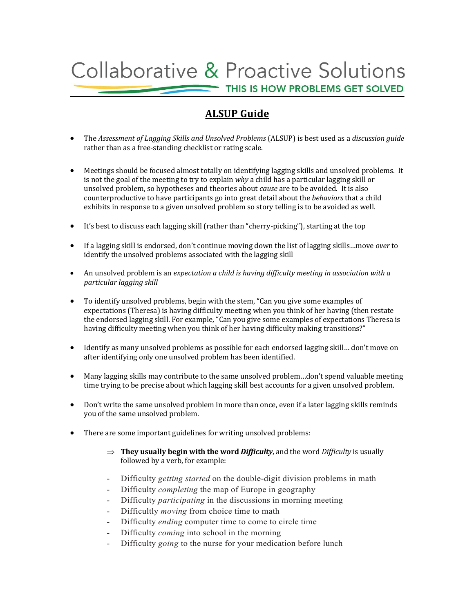## **Collaborative & Proactive Solutions** THIS IS HOW PROBLEMS GET SOLVED

## **ALSUP** Guide

- The *Assessment of Lagging Skillsꢀand Unsolved Problems* (ALSUP)ꢀisꢀbest used asꢀaꢀ*discussionꢀguide* rather than as a free-standing checklist or rating scale.
- Meetings should be focused almost totally on identifying lagging skills and unsolved problems. It is not the goal of the meeting to try to explain *why* a child has a particular lagging skill or unsolved problem, so hypotheses and theories about *cause* are to be avoided. It is also counterproductiveꢀto haveꢀparticipantsꢀgo into great detail about theꢀ*behaviors* thatꢀa child exhibits in response to a given unsolved problem so story telling is to be avoided as well.
- It's best to discuss each lagging skill (rather than "cherry-picking"), starting at the top
- If a lagging skill is endorsed, don't continue moving down the list of lagging skills…move *over* to identify the unsolved problems associated with the lagging skill
- An unsolved problem is an *expectation a child is having difficulty meeting in association with a particular lagging skill*
- To identify unsolved problems, begin with the stem, "Can you give some examples of expectations (Theresa) is having difficulty meeting when you think of her having (then restate the endorsed lagging skill. For example, "Can you give some examples of expectations Theresa is having difficulty meeting when you think of her having difficulty making transitions?"
- Identify as many unsolved problems as possible for each endorsed lagging skill... don't move on after identifying only one unsolved problem has been identified.
- Many lagging skills may contribute to the same unsolved problem...don't spend valuable meeting time trying to be precise about which lagging skill best accounts for a given unsolved problem.
- Don't write the same unsolved problem in more than once, even if a later lagging skills reminds you of the same unsolved problem.
- There are some important guidelines for writing unsolved problems:
	- $\Rightarrow$  **They usually begin with the word** *Difficulty*, and the word *Difficulty* is usually followed by a verb, for example:
	- Difficulty *getting started* on the double-digit division problems in math
	- Difficulty *completing* the map of Europe in geography
	- Difficulty *participating* in the discussions in morning meeting
	- Difficultly *moving* from choice time to math
	- Difficulty *ending* computer time to come to circle time
	- Difficulty *coming* into school in the morning
	- Difficulty *going* to the nurse for your medication before lunch